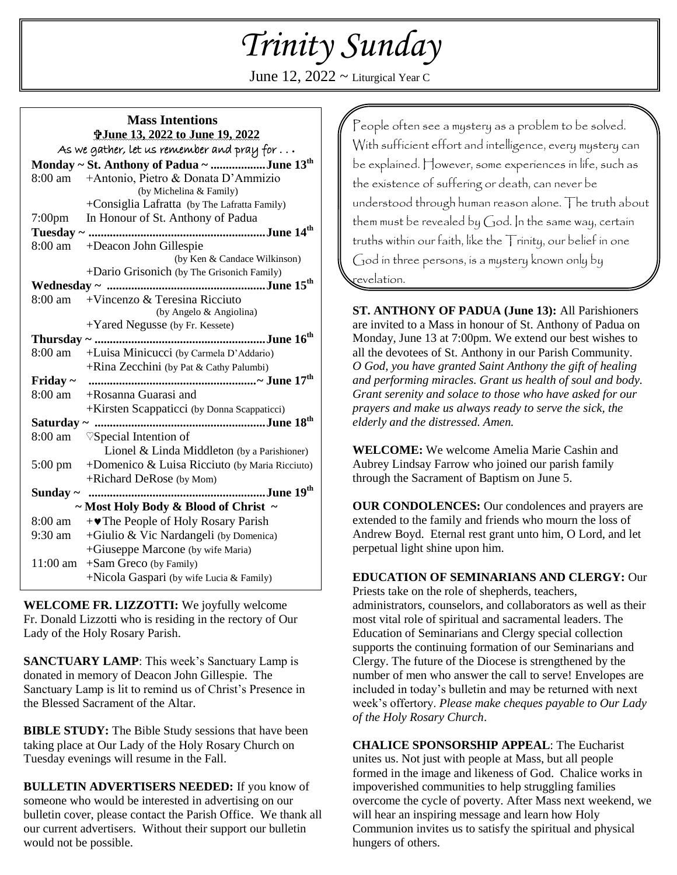# *Trinity Sunday*

June 12,  $2022 \sim$  Liturgical Year C

| <b>Mass Intentions</b>                             |                                                  |
|----------------------------------------------------|--------------------------------------------------|
| <b>T</b> June 13, 2022 to June 19, 2022            |                                                  |
| As we gather, let us remember and pray for $\dots$ |                                                  |
| Monday ~ St. Anthony of Padua ~ June $13^{th}$     |                                                  |
| 8:00 am                                            | +Antonio, Pietro & Donata D'Ammizio              |
|                                                    | (by Michelina & Family)                          |
|                                                    | +Consiglia Lafratta (by The Lafratta Family)     |
| 7:00pm                                             | In Honour of St. Anthony of Padua                |
|                                                    |                                                  |
| 8:00 am                                            | +Deacon John Gillespie                           |
|                                                    | (by Ken & Candace Wilkinson)                     |
|                                                    | +Dario Grisonich (by The Grisonich Family)       |
|                                                    |                                                  |
| 8:00 am                                            | +Vincenzo & Teresina Ricciuto                    |
|                                                    | (by Angelo & Angiolina)                          |
|                                                    | +Yared Negusse (by Fr. Kessete)                  |
|                                                    |                                                  |
| 8:00 am                                            | +Luisa Minicucci (by Carmela D'Addario)          |
|                                                    | +Rina Zecchini (by Pat & Cathy Palumbi)          |
| Friday $\sim$                                      |                                                  |
|                                                    | 8:00 am + Rosanna Guarasi and                    |
|                                                    | +Kirsten Scappaticci (by Donna Scappaticci)      |
| June 18 <sup>th</sup><br>Saturday ~                |                                                  |
| 8:00 am                                            | $\heartsuit$ Special Intention of                |
|                                                    | Lionel & Linda Middleton (by a Parishioner)      |
| $5:00 \text{ pm}$                                  | +Domenico $&$ Luisa Ricciuto (by Maria Ricciuto) |
|                                                    | +Richard DeRose (by Mom)                         |
| Sunday $\sim$                                      | June 19 <sup>th</sup>                            |
| $\sim$ Most Holy Body & Blood of Christ $\sim$     |                                                  |
| 8:00 am                                            | $+\bullet$ The People of Holy Rosary Parish      |
| 9:30 am                                            | +Giulio & Vic Nardangeli (by Domenica)           |
|                                                    | +Giuseppe Marcone (by wife Maria)                |
| 11:00 am                                           | $+ Sam$ Greco (by Family)                        |
|                                                    | +Nicola Gaspari (by wife Lucia & Family)         |
|                                                    |                                                  |

**WELCOME FR. LIZZOTTI:** We joyfully welcome Fr. Donald Lizzotti who is residing in the rectory of Our Lady of the Holy Rosary Parish.

**SANCTUARY LAMP**: This week's Sanctuary Lamp is donated in memory of Deacon John Gillespie. The Sanctuary Lamp is lit to remind us of Christ's Presence in the Blessed Sacrament of the Altar.

**BIBLE STUDY:** The Bible Study sessions that have been taking place at Our Lady of the Holy Rosary Church on Tuesday evenings will resume in the Fall.

**BULLETIN ADVERTISERS NEEDED:** If you know of someone who would be interested in advertising on our bulletin cover, please contact the Parish Office. We thank all our current advertisers. Without their support our bulletin would not be possible.

People often see a mystery as a problem to be solved. With sufficient effort and intelligence, every mystery can be explained. However, some experiences in life, such as the existence of suffering or death, can never be understood through human reason alone. The truth about them must be revealed by God. In the same way, certain truths within our faith, like the Trinity, our belief in one God in three persons, is a mystery known only by revelation.

**ST. ANTHONY OF PADUA (June 13):** All Parishioners are invited to a Mass in honour of St. Anthony of Padua on Monday, June 13 at 7:00pm. We extend our best wishes to all the devotees of St. Anthony in our Parish Community. *O God, you have granted Saint Anthony the gift of healing and performing miracles. Grant us health of soul and body. Grant serenity and solace to those who have asked for our prayers and make us always ready to serve the sick, the elderly and the distressed. Amen.*

**WELCOME:** We welcome Amelia Marie Cashin and Aubrey Lindsay Farrow who joined our parish family through the Sacrament of Baptism on June 5.

**OUR CONDOLENCES:** Our condolences and prayers are extended to the family and friends who mourn the loss of Andrew Boyd. Eternal rest grant unto him, O Lord, and let perpetual light shine upon him.

**EDUCATION OF SEMINARIANS AND CLERGY:** Our Priests take on the role of shepherds, teachers, administrators, counselors, and collaborators as well as their most vital role of spiritual and sacramental leaders. The Education of Seminarians and Clergy special collection supports the continuing formation of our Seminarians and Clergy. The future of the Diocese is strengthened by the number of men who answer the call to serve! Envelopes are included in today's bulletin and may be returned with next week's offertory. *Please make cheques payable to Our Lady of the Holy Rosary Church*.

**CHALICE SPONSORSHIP APPEAL**: The Eucharist unites us. Not just with people at Mass, but all people formed in the image and likeness of God. Chalice works in impoverished communities to help struggling families overcome the cycle of poverty. After Mass next weekend, we will hear an inspiring message and learn how Holy Communion invites us to satisfy the spiritual and physical hungers of others.